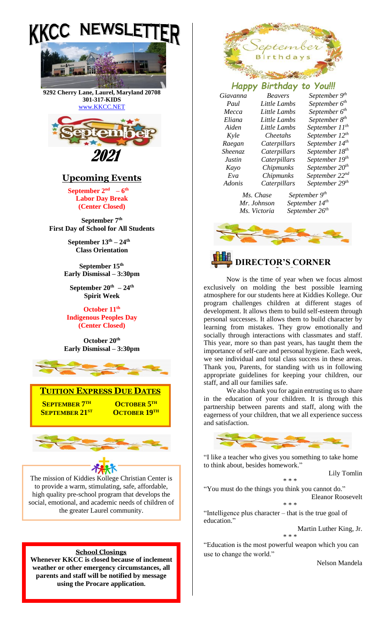



**9292 Cherry Lane, Laurel, Maryland 20708 301-317-KIDS**  [www.KKCC.NET](http://www.kkcc.net/)



### **Upcoming Events**

 $\textbf{September 2}^{\text{nd}}$   $-6^{\text{th}}$ **Labor Day Break (Center Closed)**

**September 7 th First Day of School for All Students**

> **September 13 th – 24th Class Orientation**

**September 15th Early Dismissal – 3:30pm**

**September 20 th – 24 th Spirit Week**

**October 11 th Indigenous Peoples Day (Center Closed)**

**October 20th Early Dismissal – 3:30pm**



**Whenever KKCC is closed because of inclement weather or other emergency circumstances, all parents and staff will be notified by message using the Procare application.**



## *Happy Birthday to You!!!*

| Giavanna      |
|---------------|
| Paul          |
| Mecca         |
| Eliana        |
| Aiden         |
| Kyle          |
| Raegan        |
| Sheenaz       |
| <b>Justin</b> |
| Kayo          |
| Eva           |
| <i>Adonis</i> |
|               |

*Giavanna Beavers September 9th <i>Little Lambs September*  $6^{th}$ *Mecca Little Lambs September 6th Eliana Little Lambs September 8 th Aiden Little Lambs September 11th Kyle Cheetahs September 12th Raegan Caterpillars September 14th Sheenaz Caterpillars September 18th Caterpillars September 19<sup>th</sup> Kayo Chipmunks September 20th Eva Chipmunks September 22nd Adonis Caterpillars September 29th*

*Ms. Chase September 9 th Mr. Johnson September 14th Ms. Victoria September 26th*





# **DIRECTOR'S CORNER**

Now is the time of year when we focus almost exclusively on molding the best possible learning atmosphere for our students here at Kiddies Kollege. Our program challenges children at different stages of development. It allows them to build self-esteem through personal successes. It allows them to build character by learning from mistakes. They grow emotionally and socially through interactions with classmates and staff. This year, more so than past years, has taught them the importance of self-care and personal hygiene. Each week, we see individual and total class success in these areas. Thank you, Parents, for standing with us in following appropriate guidelines for keeping your children, our staff, and all our families safe.

We also thank you for again entrusting us to share in the education of your children. It is through this partnership between parents and staff, along with the eagerness of your children, that we all experience success and satisfaction.



"I like a teacher who gives you something to take home to think about, besides homework."

Lily Tomlin

"You must do the things you think you cannot do." Eleanor Roosevelt \* \* \*

\* \* \*

"Intelligence plus character – that is the true goal of education."

Martin Luther King, Jr. \* \* \*

"Education is the most powerful weapon which you can use to change the world."

Nelson Mandela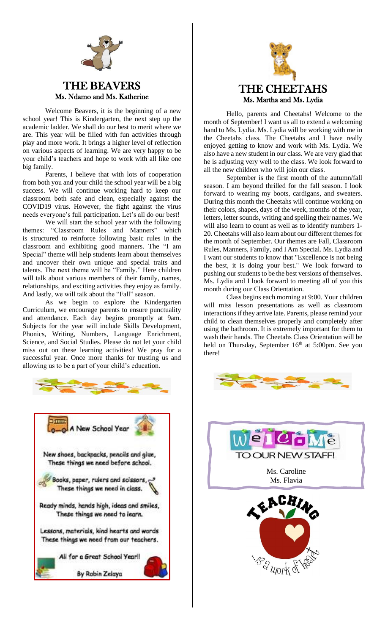

### THE BEAVERS Ms. Ndamo and Ms. Katherine

Welcome Beavers, it is the beginning of a new school year! This is Kindergarten, the next step up the academic ladder. We shall do our best to merit where we are. This year will be filled with fun activities through play and more work. It brings a higher level of reflection on various aspects of learning. We are very happy to be your child's teachers and hope to work with all like one big family.

Parents, I believe that with lots of cooperation from both you and your child the school year will be a big success. We will continue working hard to keep our classroom both safe and clean, especially against the COVID19 virus. However, the fight against the virus needs everyone's full participation. Let's all do our best!

We will start the school year with the following themes: "Classroom Rules and Manners" which is structured to reinforce following basic rules in the classroom and exhibiting good manners. The "I am Special" theme will help students learn about themselves and uncover their own unique and special traits and talents. The next theme will be "Family." Here children will talk about various members of their family, names, relationships, and exciting activities they enjoy as family. And lastly, we will talk about the "Fall" season.

As we begin to explore the Kindergarten Curriculum, we encourage parents to ensure punctuality and attendance. Each day begins promptly at 9am. Subjects for the year will include Skills Development, Phonics, Writing, Numbers, Language Enrichment, Science, and Social Studies. Please do not let your child miss out on these learning activities! We pray for a successful year. Once more thanks for trusting us and allowing us to be a part of your child's education.





Hello, parents and Cheetahs! Welcome to the month of September! I want us all to extend a welcoming hand to Ms. Lydia. Ms. Lydia will be working with me in the Cheetahs class. The Cheetahs and I have really enjoyed getting to know and work with Ms. Lydia. We also have a new student in our class. We are very glad that he is adjusting very well to the class. We look forward to all the new children who will join our class.

September is the first month of the autumn/fall season. I am beyond thrilled for the fall season. I look forward to wearing my boots, cardigans, and sweaters. During this month the Cheetahs will continue working on their colors, shapes, days of the week, months of the year, letters, letter sounds, writing and spelling their names. We will also learn to count as well as to identify numbers 1- 20. Cheetahs will also learn about our different themes for the month of September. Our themes are Fall, Classroom Rules, Manners, Family, and I Am Special. Ms. Lydia and I want our students to know that "Excellence is not being the best, it is doing your best." We look forward to pushing our students to be the best versions of themselves. Ms. Lydia and I look forward to meeting all of you this month during our Class Orientation.

Class begins each morning at 9:00. Your children will miss lesson presentations as well as classroom interactions if they arrive late. Parents, please remind your child to clean themselves properly and completely after using the bathroom. It is extremely important for them to wash their hands. The Cheetahs Class Orientation will be held on Thursday, September  $16<sup>th</sup>$  at 5:00pm. See you there!



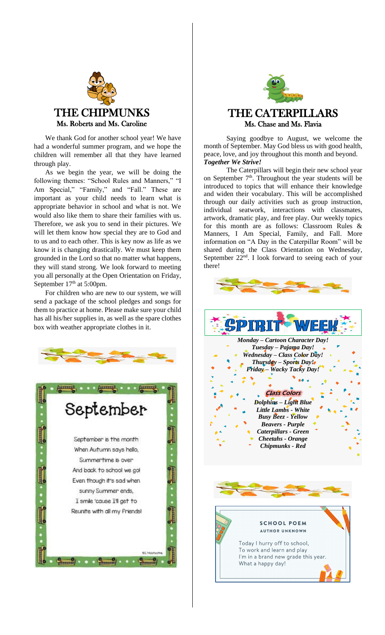

We thank God for another school year! We have had a wonderful summer program, and we hope the children will remember all that they have learned through play.

As we begin the year, we will be doing the following themes: "School Rules and Manners," "I Am Special," "Family," and "Fall." These are important as your child needs to learn what is appropriate behavior in school and what is not. We would also like them to share their families with us. Therefore, we ask you to send in their pictures. We will let them know how special they are to God and to us and to each other. This is key now as life as we know it is changing drastically. We must keep them grounded in the Lord so that no matter what happens, they will stand strong. We look forward to meeting you all personally at the Open Orientation on Friday, September  $17<sup>th</sup>$  at 5:00pm.

For children who are new to our system, we will send a package of the school pledges and songs for them to practice at home. Please make sure your child has all his/her supplies in, as well as the spare clothes box with weather appropriate clothes in it.





Saying goodbye to August, we welcome the month of September. May God bless us with good health, peace, love, and joy throughout this month and beyond. *Together We Strive!*

The Caterpillars will begin their new school year on September  $7<sup>th</sup>$ . Throughout the year students will be introduced to topics that will enhance their knowledge and widen their vocabulary. This will be accomplished through our daily activities such as group instruction, individual seatwork, interactions with classmates, artwork, dramatic play, and free play. Our weekly topics for this month are as follows: Classroom Rules & Manners, I Am Special, Family, and Fall. More information on "A Day in the Caterpillar Room" will be shared during the Class Orientation on Wednesday, September 22<sup>nd</sup>. I look forward to seeing each of your there!

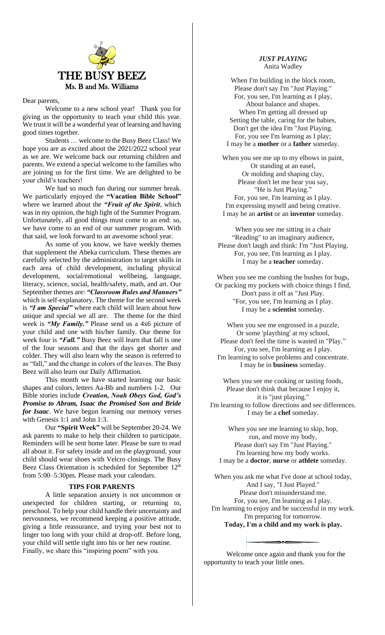

#### Dear parents,

Welcome to a new school year! Thank you for giving us the opportunity to teach your child this year. We trust it will be a wonderful year of learning and having good times together.

Students … welcome to the Busy Beez Class! We hope you are as excited about the 2021/2022 school year as we are. We welcome back our returning children and parents. We extend a special welcome to the families who are joining us for the first time. We are delighted to be your child's teachers!

We had so much fun during our summer break. We particularly enjoyed the **"Vacation Bible School"** where we learned about the *"Fruit of the Spirit*, which was in my opinion, the high light of the Summer Program. Unfortunately, all good things must come to an end: so, we have come to an end of our summer program. With that said, we look forward to an awesome school year.

As some of you know, we have weekly themes that supplement the Abeka curriculum. These themes are carefully selected by the administration to target skills in each area of child development, including physical development, social/emotional wellbeing, language, literacy, science, social, health/safety, math, and art. Our September themes are: *"Classroom Rules and Manners"* which is self-explanatory. The theme for the second week is *"I am Special"* where each child will learn about how unique and special we all are. The theme for the third week is *"My Family."* Please send us a 4x6 picture of your child and one with his/her family. Our theme for week four is *"Fall."* Busy Beez will learn that fall is one of the four seasons and that the days get shorter and colder. They will also learn why the season is referred to as "fall," and the change in colors of the leaves. The Busy Beez will also learn our Daily Affirmation.

This month we have started learning our basic shapes and colors, letters Aa-Bb and numbers 1-2. Our Bible stories include *Creation, Noah Obeys God, God's Promise to Abram, Isaac the Promised Son and Bride for Isaac*. We have begun learning our memory verses with Genesis 1:1 and John 1:3.

Our **"Spirit Week"** will be September 20-24. We ask parents to make to help their children to participate. Reminders will be sent home later. Please be sure to read all about it. For safety inside and on the playground, your child should wear shoes with Velcro closings. The Busy Beez Class Orientation is scheduled for September 12<sup>th</sup> from 5:00–5:30pm. Please mark your calendars.

#### **TIPS FOR PARENTS**

A little separation anxiety is not uncommon or unexpected for children starting, or returning to, preschool. To help your child handle their uncertainty and nervousness, we recommend keeping a positive attitude, giving a little reassurance, and trying your best not to linger too long with your child at drop-off. Before long, your child will settle right into his or her new routine. Finally, we share this "inspiring poem" with you.

#### *JUST PLAYING* Anita Wadley

When I'm building in the block room, Please don't say I'm "Just Playing." For, you see, I'm learning as I play, About balance and shapes. When I'm getting all dressed up Setting the table, caring for the babies, Don't get the idea I'm "Just Playing. For, you see I'm learning as I play; I may be a **mother** or a **father** someday.

When you see me up to my elbows in paint, Or standing at an easel, Or molding and shaping clay, Please don't let me hear you say, "He is Just Playing." For, you see, I'm learning as I play. I'm expressing myself and being creative. I may be an **artist** or an **inventor** someday.

When you see me sitting in a chair "Reading" to an imaginary audience, Please don't laugh and think: I'm "Just Playing. For, you see, I'm learning as I play. I may be a **teacher** someday.

When you see me combing the bushes for bugs, Or packing my pockets with choice things I find, Don't pass it off as "Just Play. "For, you see, I'm learning as I play. I may be a **scientist** someday.

When you see me engrossed in a puzzle, Or some 'plaything' at my school, Please don't feel the time is wasted in "Play." For, you see, I'm learning as I play. I'm learning to solve problems and concentrate. I may be in **business** someday.

When you see me cooking or tasting foods, Please don't think that because I enjoy it, it is "just playing." I'm learning to follow directions and see differences. I may be a **chef** someday.

When you see me learning to skip, hop, run, and move my body, Please don't say I'm "Just Playing." I'm learning how my body works. I may be a **doctor**, **nurse** or **athlete** someday.

When you ask me what I've done at school today, And I say, "I Just Played." Please don't misunderstand me. For, you see, I'm learning as I play. I'm learning to enjoy and be successful in my work. I'm preparing for tomorrow. **Today, I'm a child and my work is play.**

Welcome once again and thank you for the opportunity to teach your little ones.